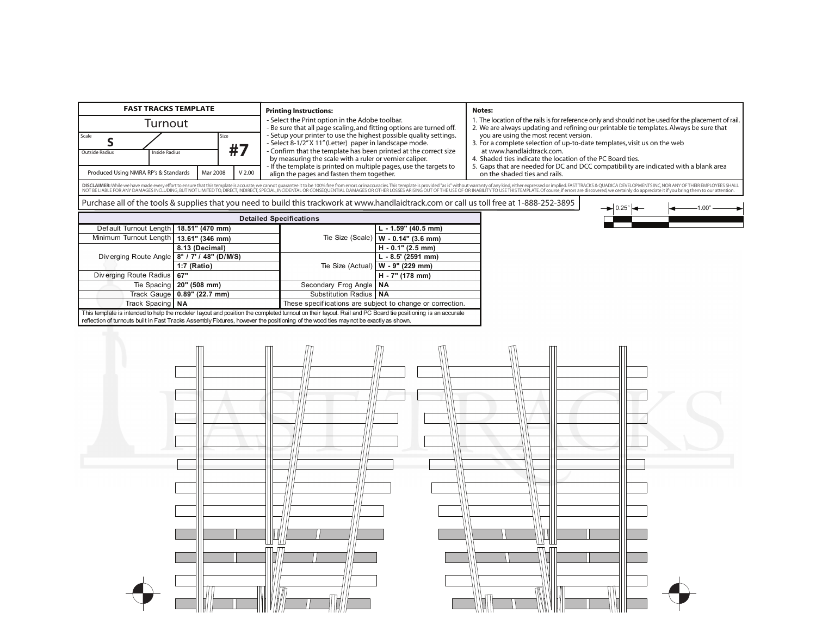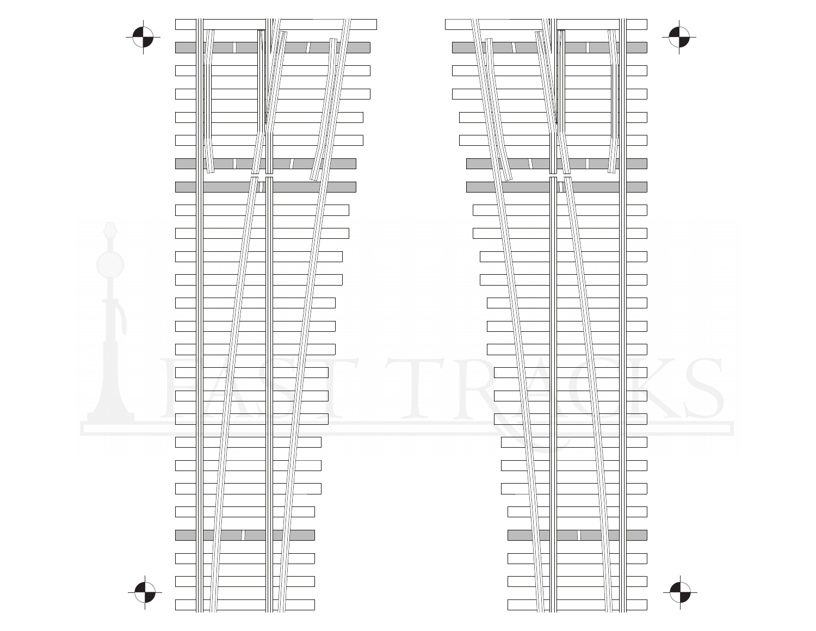